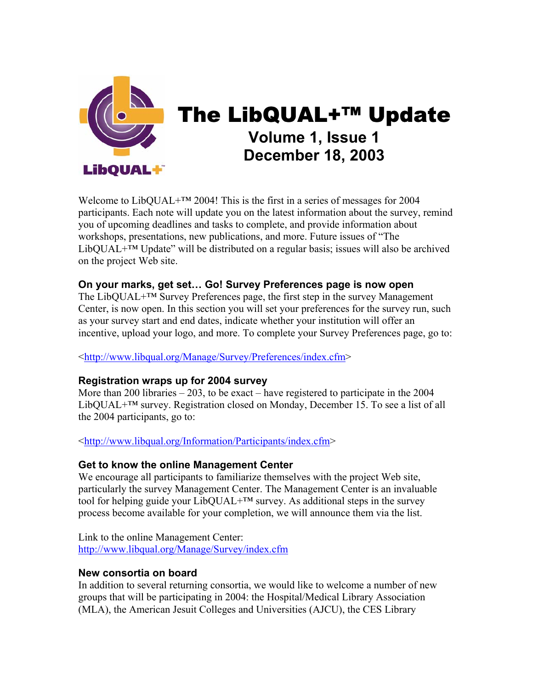

# The LibQUAL+™ Update **Volume 1, Issue 1 December 18, 2003**

Welcome to LibQUAL+™ 2004! This is the first in a series of messages for 2004 participants. Each note will update you on the latest information about the survey, remind you of upcoming deadlines and tasks to complete, and provide information about workshops, presentations, new publications, and more. Future issues of "The LibQUAL $+^{TM}$  Update" will be distributed on a regular basis; issues will also be archived on the project Web site.

#### **On your marks, get set… Go! Survey Preferences page is now open**

The LibQUAL<sup>+™</sup> Survey Preferences page, the first step in the survey Management Center, is now open. In this section you will set your preferences for the survey run, such as your survey start and end dates, indicate whether your institution will offer an incentive, upload your logo, and more. To complete your Survey Preferences page, go to:

<[http://www.libqual.org/Manage/Survey/Preferences/index.cfm>](http://old.libqual.org/Manage/Survey/Preferences/index.cfm)

# **Registration wraps up for 2004 survey**

More than 200 libraries – 203, to be exact – have registered to participate in the 2004 LibQUAL+™ survey. Registration closed on Monday, December 15. To see a list of all the 2004 participants, go to:

<[http://www.libqual.org/Information/Participants/index.cfm](http://old.libqual.org/Information/Participants/index.cfm)>

# **Get to know the online Management Center**

We encourage all participants to familiarize themselves with the project Web site, particularly the survey Management Center. The Management Center is an invaluable tool for helping guide your  $LibQUAL+<sup>TM</sup>$  survey. As additional steps in the survey process become available for your completion, we will announce them via the list.

Link to the online Management Center: [http://www.libqual.org/Manage/Survey/index.cfm](http://old.libqual.org/Manage/Survey/index.cfm)

# **New consortia on board**

In addition to several returning consortia, we would like to welcome a number of new groups that will be participating in 2004: the Hospital/Medical Library Association (MLA), the American Jesuit Colleges and Universities (AJCU), the CES Library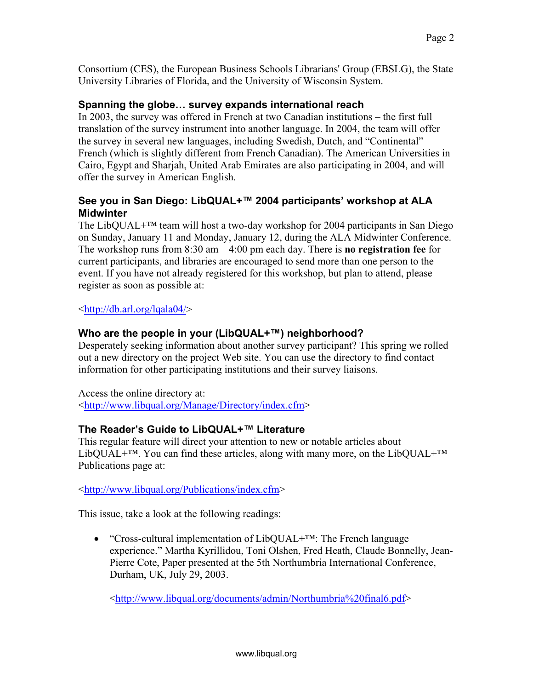Consortium (CES), the European Business Schools Librarians' Group (EBSLG), the State University Libraries of Florida, and the University of Wisconsin System.

#### **Spanning the globe… survey expands international reach**

In 2003, the survey was offered in French at two Canadian institutions – the first full translation of the survey instrument into another language. In 2004, the team will offer the survey in several new languages, including Swedish, Dutch, and "Continental" French (which is slightly different from French Canadian). The American Universities in Cairo, Egypt and Sharjah, United Arab Emirates are also participating in 2004, and will offer the survey in American English.

### **See you in San Diego: LibQUAL+™ 2004 participants' workshop at ALA Midwinter**

The LibQUAL+<sup>™</sup> team will host a two-day workshop for 2004 participants in San Diego on Sunday, January 11 and Monday, January 12, during the ALA Midwinter Conference. The workshop runs from 8:30 am – 4:00 pm each day. There is **no registration fee** for current participants, and libraries are encouraged to send more than one person to the event. If you have not already registered for this workshop, but plan to attend, please register as soon as possible at:

<<http://db.arl.org/lqala04/>>

#### **Who are the people in your (LibQUAL+™) neighborhood?**

Desperately seeking information about another survey participant? This spring we rolled out a new directory on the project Web site. You can use the directory to find contact information for other participating institutions and their survey liaisons.

Access the online directory at: <[http://www.libqual.org/Manage/Directory/index.cfm>](http://old.libqual.org/Manage/Directory/index.cfm)

#### **The Reader's Guide to LibQUAL+™ Literature**

This regular feature will direct your attention to new or notable articles about LibQUAL<sup>+™</sup>. You can find these articles, along with many more, on the LibQUAL<sup>+™</sup> Publications page at:

<[http://www.libqual.org/Publications/index.cfm>](http://old.libqual.org/Publications/index.cfm)

This issue, take a look at the following readings:

• "Cross-cultural implementation of LibQUAL+™: The French language experience." Martha Kyrillidou, Toni Olshen, Fred Heath, Claude Bonnelly, Jean-Pierre Cote, Paper presented at the 5th Northumbria International Conference, Durham, UK, July 29, 2003.

<[http://www.libqual.org/documents/admin/Northumbria%20final6.pdf>](http://old.libqual.org/documents/admin/Northumbria final6.pdf)